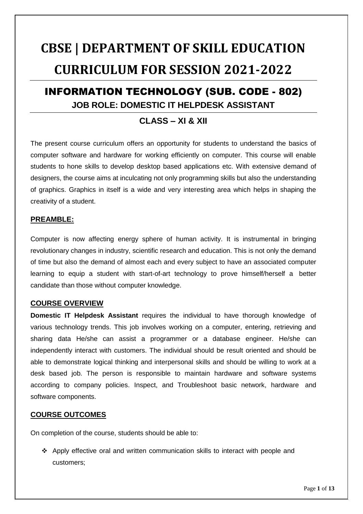# **CBSE | DEPARTMENT OF SKILL EDUCATION CURRICULUM FOR SESSION 2021-2022**

# INFORMATION TECHNOLOGY (SUB. CODE - 802) **JOB ROLE: DOMESTIC IT HELPDESK ASSISTANT**

### **CLASS – XI & XII**

The present course curriculum offers an opportunity for students to understand the basics of computer software and hardware for working efficiently on computer. This course will enable students to hone skills to develop desktop based applications etc. With extensive demand of designers, the course aims at inculcating not only programming skills but also the understanding of graphics. Graphics in itself is a wide and very interesting area which helps in shaping the creativity of a student.

#### **PREAMBLE:**

Computer is now affecting energy sphere of human activity. It is instrumental in bringing revolutionary changes in industry, scientific research and education. This is not only the demand of time but also the demand of almost each and every subject to have an associated computer learning to equip a student with start-of-art technology to prove himself/herself a better candidate than those without computer knowledge.

#### **COURSE OVERVIEW**

**Domestic IT Helpdesk Assistant** requires the individual to have thorough knowledge of various technology trends. This job involves working on a computer, entering, retrieving and sharing data He/she can assist a programmer or a database engineer. He/she can independently interact with customers. The individual should be result oriented and should be able to demonstrate logical thinking and interpersonal skills and should be willing to work at a desk based job. The person is responsible to maintain hardware and software systems according to company policies. Inspect, and Troubleshoot basic network, hardware and software components.

#### **COURSE OUTCOMES**

On completion of the course, students should be able to:

 $\div$  Apply effective oral and written communication skills to interact with people and customers;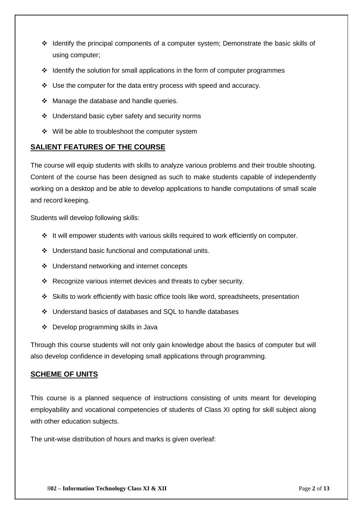- \* Identify the principal components of a computer system; Demonstrate the basic skills of using computer;
- $\div$  Identify the solution for small applications in the form of computer programmes
- $\div$  Use the computer for the data entry process with speed and accuracy.
- $\div$  Manage the database and handle queries.
- Understand basic cyber safety and security norms
- $\div$  Will be able to troubleshoot the computer system

#### **SALIENT FEATURES OF THE COURSE**

The course will equip students with skills to analyze various problems and their trouble shooting. Content of the course has been designed as such to make students capable of independently working on a desktop and be able to develop applications to handle computations of small scale and record keeping.

Students will develop following skills:

- $\div$  It will empower students with various skills required to work efficiently on computer.
- Understand basic functional and computational units.
- ❖ Understand networking and internet concepts
- \* Recognize various internet devices and threats to cyber security.
- Skills to work efficiently with basic office tools like word, spreadsheets, presentation
- Understand basics of databases and SQL to handle databases
- ❖ Develop programming skills in Java

Through this course students will not only gain knowledge about the basics of computer but will also develop confidence in developing small applications through programming.

#### **SCHEME OF UNITS**

This course is a planned sequence of instructions consisting of units meant for developing employability and vocational competencies of students of Class XI opting for skill subject along with other education subjects.

The unit-wise distribution of hours and marks is given overleaf: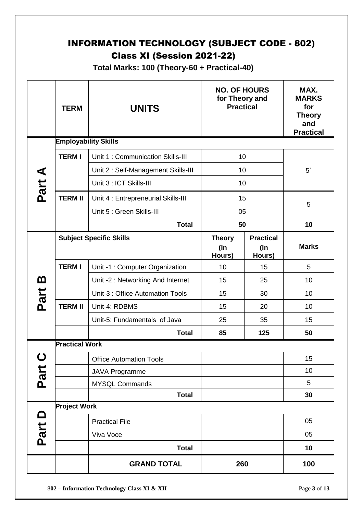# INFORMATION TECHNOLOGY (SUBJECT CODE - 802) Class XI (Session 2021-22)

**Total Marks: 100 (Theory-60 + Practical-40)**

|             | <b>TERM</b>                 | <b>UNITS</b>                        | <b>NO. OF HOURS</b><br>for Theory and<br><b>Practical</b> |                                      | MAX.<br><b>MARKS</b><br>for<br><b>Theory</b><br>and<br><b>Practical</b> |
|-------------|-----------------------------|-------------------------------------|-----------------------------------------------------------|--------------------------------------|-------------------------------------------------------------------------|
|             | <b>Employability Skills</b> |                                     |                                                           |                                      |                                                                         |
|             | <b>TERMI</b>                | Unit 1: Communication Skills-III    | 10                                                        |                                      |                                                                         |
|             |                             | Unit 2: Self-Management Skills-III  | 10                                                        |                                      | $5^{\circ}$                                                             |
| Part A      |                             | Unit 3 : ICT Skills-III             | 10                                                        |                                      |                                                                         |
|             | <b>TERM II</b>              | Unit 4 : Entrepreneurial Skills-III | 15                                                        |                                      |                                                                         |
|             |                             | Unit 5 : Green Skills-III           | 05                                                        |                                      | 5                                                                       |
|             |                             | <b>Total</b>                        | 50                                                        |                                      | 10                                                                      |
|             |                             | <b>Subject Specific Skills</b>      | <b>Theory</b><br>$($ In<br>Hours)                         | <b>Practical</b><br>$($ ln<br>Hours) | <b>Marks</b>                                                            |
|             | <b>TERMI</b>                | Unit -1 : Computer Organization     | 10                                                        | 15                                   | 5                                                                       |
| <u>ന</u>    |                             | Unit -2: Networking And Internet    | 15                                                        | 25                                   | 10                                                                      |
| Part        |                             | Unit-3 : Office Automation Tools    | 15                                                        | 30                                   | 10                                                                      |
|             | <b>TERM II</b>              | Unit-4: RDBMS                       | 15                                                        | 20                                   | 10                                                                      |
|             |                             | Unit-5: Fundamentals of Java        | 25                                                        | 35                                   | 15                                                                      |
|             |                             | <b>Total</b>                        | 85                                                        | 125                                  | 50                                                                      |
|             | <b>Practical Work</b>       |                                     |                                                           |                                      |                                                                         |
| $\mathbf C$ |                             | <b>Office Automation Tools</b>      |                                                           |                                      | 15                                                                      |
| Part        |                             | <b>JAVA Programme</b>               |                                                           |                                      | 10                                                                      |
|             |                             | <b>MYSQL Commands</b>               |                                                           |                                      | 5                                                                       |
|             |                             | <b>Total</b>                        |                                                           |                                      | 30                                                                      |
|             | <b>Project Work</b>         |                                     |                                                           |                                      |                                                                         |
|             |                             | <b>Practical File</b>               |                                                           |                                      | 05                                                                      |
| Part D      |                             | Viva Voce                           |                                                           |                                      | 05                                                                      |
|             |                             | <b>Total</b>                        |                                                           |                                      | 10                                                                      |
|             |                             | <b>GRAND TOTAL</b>                  | 260                                                       |                                      | 100                                                                     |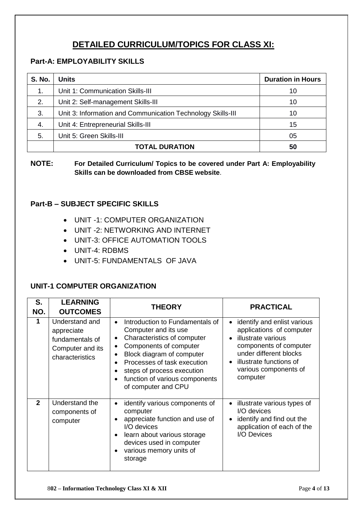# **DETAILED CURRICULUM/TOPICS FOR CLASS XI:**

#### **Part-A: EMPLOYABILITY SKILLS**

| <b>S. No.</b> | Units                                                       | <b>Duration in Hours</b> |
|---------------|-------------------------------------------------------------|--------------------------|
| $\mathbf 1$ . | Unit 1: Communication Skills-III                            | 10                       |
| 2.            | Unit 2: Self-management Skills-III                          | 10                       |
| 3.            | Unit 3: Information and Communication Technology Skills-III | 10                       |
| 4.            | Unit 4: Entrepreneurial Skills-III                          | 15                       |
| 5.            | Unit 5: Green Skills-III                                    | 05                       |
|               | <b>TOTAL DURATION</b>                                       | 50                       |

**NOTE: For Detailed Curriculum/ Topics to be covered under Part A: Employability Skills can be downloaded from CBSE website**.

#### **Part-B – SUBJECT SPECIFIC SKILLS**

- UNIT -1: COMPUTER ORGANIZATION
- UNIT -2: NETWORKING AND INTERNET
- UNIT-3: OFFICE AUTOMATION TOOLS
- UNIT-4: RDBMS
- UNIT-5: FUNDAMENTALS OF JAVA

#### **UNIT-1 COMPUTER ORGANIZATION**

| S.<br>NO.    | <b>LEARNING</b><br><b>OUTCOMES</b>                                                     | <b>THEORY</b>                                                                                                                                                                                                                                                                    | <b>PRACTICAL</b>                                                                                                                                                                                  |
|--------------|----------------------------------------------------------------------------------------|----------------------------------------------------------------------------------------------------------------------------------------------------------------------------------------------------------------------------------------------------------------------------------|---------------------------------------------------------------------------------------------------------------------------------------------------------------------------------------------------|
| 1            | Understand and<br>appreciate<br>fundamentals of<br>Computer and its<br>characteristics | Introduction to Fundamentals of<br>$\bullet$<br>Computer and its use<br>Characteristics of computer<br>Components of computer<br>Block diagram of computer<br>Processes of task execution<br>steps of process execution<br>function of various components<br>of computer and CPU | identify and enlist various<br>applications of computer<br>illustrate various<br>components of computer<br>under different blocks<br>illustrate functions of<br>various components of<br>computer |
| $\mathbf{2}$ | Understand the<br>components of<br>computer                                            | identify various components of<br>$\bullet$<br>computer<br>appreciate function and use of<br>I/O devices<br>learn about various storage<br>devices used in computer<br>various memory units of<br>storage                                                                        | illustrate various types of<br>I/O devices<br>identify and find out the<br>application of each of the<br>I/O Devices                                                                              |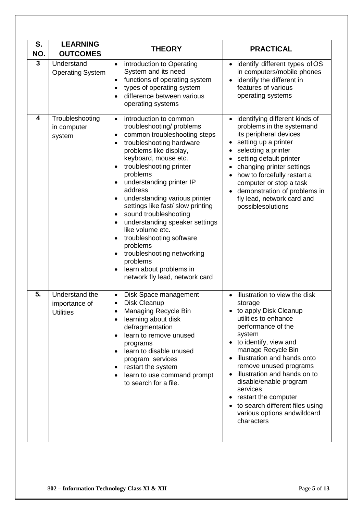| S.<br>NO. | <b>LEARNING</b><br><b>OUTCOMES</b>                  | <b>THEORY</b>                                                                                                                                                                                                                                                                                                                                                                                                                                                                                                                                                                                                       | <b>PRACTICAL</b>                                                                                                                                                                                                                                                                                                                                                                                                               |
|-----------|-----------------------------------------------------|---------------------------------------------------------------------------------------------------------------------------------------------------------------------------------------------------------------------------------------------------------------------------------------------------------------------------------------------------------------------------------------------------------------------------------------------------------------------------------------------------------------------------------------------------------------------------------------------------------------------|--------------------------------------------------------------------------------------------------------------------------------------------------------------------------------------------------------------------------------------------------------------------------------------------------------------------------------------------------------------------------------------------------------------------------------|
| 3         | Understand<br><b>Operating System</b>               | introduction to Operating<br>System and its need<br>functions of operating system<br>types of operating system<br>difference between various<br>operating systems                                                                                                                                                                                                                                                                                                                                                                                                                                                   | identify different types of OS<br>in computers/mobile phones<br>identify the different in<br>features of various<br>operating systems                                                                                                                                                                                                                                                                                          |
| 4         | Troubleshooting<br>in computer<br>system            | introduction to common<br>$\bullet$<br>troubleshooting/problems<br>common troubleshooting steps<br>$\bullet$<br>troubleshooting hardware<br>$\bullet$<br>problems like display,<br>keyboard, mouse etc.<br>troubleshooting printer<br>problems<br>understanding printer IP<br>address<br>understanding various printer<br>$\bullet$<br>settings like fast/ slow printing<br>sound troubleshooting<br>understanding speaker settings<br>like volume etc.<br>troubleshooting software<br>$\bullet$<br>problems<br>troubleshooting networking<br>problems<br>learn about problems in<br>network fly lead, network card | identifying different kinds of<br>problems in the systemand<br>its peripheral devices<br>setting up a printer<br>selecting a printer<br>setting default printer<br>changing printer settings<br>how to forcefully restart a<br>computer or stop a task<br>demonstration of problems in<br>fly lead, network card and<br>possiblesolutions                                                                                      |
| 5.        | Understand the<br>importance of<br><b>Utilities</b> | Disk Space management<br>$\bullet$<br>Disk Cleanup<br>Managing Recycle Bin<br>learning about disk<br>defragmentation<br>learn to remove unused<br>programs<br>learn to disable unused<br>$\bullet$<br>program services<br>restart the system<br>$\bullet$<br>learn to use command prompt<br>to search for a file.                                                                                                                                                                                                                                                                                                   | illustration to view the disk<br>storage<br>to apply Disk Cleanup<br>utilities to enhance<br>performance of the<br>system<br>• to identify, view and<br>manage Recycle Bin<br>illustration and hands onto<br>remove unused programs<br>illustration and hands on to<br>$\bullet$<br>disable/enable program<br>services<br>restart the computer<br>to search different files using<br>various options andwildcard<br>characters |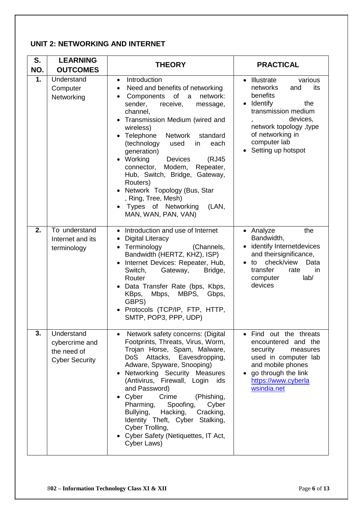#### **UNIT 2: NETWORKING AND INTERNET**

| S.<br>NO. | <b>LEARNING</b><br><b>OUTCOMES</b>                                   | <b>THEORY</b>                                                                                                                                                                                                                                                                                                                                                                                                                                                                                                                         | <b>PRACTICAL</b>                                                                                                                                                                                                            |
|-----------|----------------------------------------------------------------------|---------------------------------------------------------------------------------------------------------------------------------------------------------------------------------------------------------------------------------------------------------------------------------------------------------------------------------------------------------------------------------------------------------------------------------------------------------------------------------------------------------------------------------------|-----------------------------------------------------------------------------------------------------------------------------------------------------------------------------------------------------------------------------|
| 1.        | Understand<br>Computer<br>Networking                                 | Introduction<br>$\bullet$<br>Need and benefits of networking<br>$\bullet$<br>Components of a<br>network:<br>sender,<br>receive,<br>message,<br>channel,<br>Transmission Medium (wired and<br>wireless)<br>• Telephone<br>Network<br>standard<br>(technology<br>in<br>used<br>each<br>generation)<br>Working<br>(RJ45<br><b>Devices</b><br>connector,<br>Modem,<br>Repeater,<br>Hub, Switch, Bridge, Gateway,<br>Routers)<br>Network Topology (Bus, Star<br>, Ring, Tree, Mesh)<br>Types of Networking<br>(LAN,<br>MAN, WAN, PAN, VAN) | • Illustrate<br>various<br>networks<br>its<br>and<br>benefits<br>Identify<br>the<br>transmission medium<br>devices,<br>$\overline{ }$<br>network topology, type<br>of networking in<br>computer lab<br>• Setting up hotspot |
| 2.        | To understand<br>Internet and its<br>terminology                     | • Introduction and use of Internet<br><b>Digital Literacy</b><br>$\bullet$<br>• Terminology<br>(Channels,<br>Bandwidth (HERTZ, KHZ), ISP)<br>Internet Devices: Repeater, Hub,<br>Switch,<br>Gateway,<br>Bridge,<br>Router<br>Data Transfer Rate (bps, Kbps,<br>Mbps,<br>MBPS,<br>KBps,<br>Gbps,<br>GBPS)<br>Protocols (TCP/IP, FTP, HTTP,<br>SMTP, POP3, PPP, UDP)                                                                                                                                                                    | • Analyze<br>the<br>Bandwidth,<br>• identify Internetdevices<br>and theirsignificance,<br>check/view<br>Data<br>to<br>transfer<br>rate<br>in<br>lab/<br>computer<br>devices                                                 |
| 3.        | Understand<br>cybercrime and<br>the need of<br><b>Cyber Security</b> | Network safety concerns: (Digital<br>Footprints, Threats, Virus, Worm,<br>Trojan Horse, Spam, Malware,<br>Eavesdropping,<br><b>DoS</b><br>Attacks,<br>Adware, Spyware, Snooping)<br>Networking Security Measures<br>(Antivirus, Firewall, Login<br>ids<br>and Password)<br>Cyber<br>Crime<br>(Phishing,<br>Pharming,<br>Spoofing,<br>Cyber<br>Hacking,<br>Bullying,<br>Cracking,<br>Identity Theft, Cyber Stalking,<br>Cyber Trolling,<br>Cyber Safety (Netiquettes, IT Act,<br>Cyber Laws)                                           | Find out the threats<br>encountered and the<br>security<br>measures<br>used in computer lab<br>and mobile phones<br>go through the link<br>https://www.cyberla<br>wsindia.net                                               |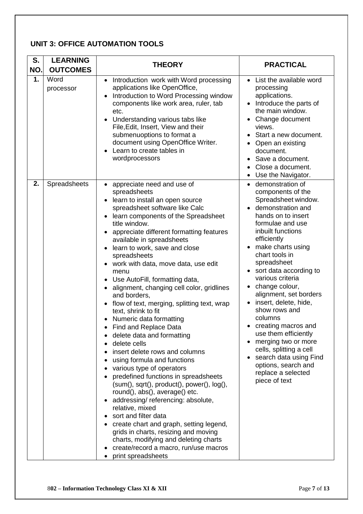#### **UNIT 3: OFFICE AUTOMATION TOOLS**

| S.<br>NO. | <b>LEARNING</b><br><b>OUTCOMES</b> | <b>THEORY</b>                                                                                                                                                                                                                                                                                                                                                                                                                                                                                                                                                                                                                                                                                                                                                                                                                                                                                                                                                                                                                                                                                                              | <b>PRACTICAL</b>                                                                                                                                                                                                                                                                                                                                                                                                                                                                                                                                                             |
|-----------|------------------------------------|----------------------------------------------------------------------------------------------------------------------------------------------------------------------------------------------------------------------------------------------------------------------------------------------------------------------------------------------------------------------------------------------------------------------------------------------------------------------------------------------------------------------------------------------------------------------------------------------------------------------------------------------------------------------------------------------------------------------------------------------------------------------------------------------------------------------------------------------------------------------------------------------------------------------------------------------------------------------------------------------------------------------------------------------------------------------------------------------------------------------------|------------------------------------------------------------------------------------------------------------------------------------------------------------------------------------------------------------------------------------------------------------------------------------------------------------------------------------------------------------------------------------------------------------------------------------------------------------------------------------------------------------------------------------------------------------------------------|
| 1.        | Word<br>processor                  | Introduction work with Word processing<br>$\bullet$<br>applications like OpenOffice,<br>Introduction to Word Processing window<br>components like work area, ruler, tab<br>etc.<br>Understanding various tabs like<br>File, Edit, Insert, View and their<br>submenuoptions to format a<br>document using OpenOffice Writer.<br>Learn to create tables in<br>wordprocessors                                                                                                                                                                                                                                                                                                                                                                                                                                                                                                                                                                                                                                                                                                                                                 | List the available word<br>$\bullet$<br>processing<br>applications.<br>Introduce the parts of<br>the main window.<br>Change document<br>views.<br>Start a new document.<br>Open an existing<br>document.<br>Save a document.<br>Close a document.<br>Use the Navigator.                                                                                                                                                                                                                                                                                                      |
| 2.        | Spreadsheets                       | appreciate need and use of<br>spreadsheets<br>learn to install an open source<br>spreadsheet software like Calc<br>learn components of the Spreadsheet<br>title window.<br>appreciate different formatting features<br>available in spreadsheets<br>learn to work, save and close<br>spreadsheets<br>work with data, move data, use edit<br>menu<br>Use AutoFill, formatting data,<br>alignment, changing cell color, gridlines<br>and borders,<br>flow of text, merging, splitting text, wrap<br>text, shrink to fit<br>Numeric data formatting<br>Find and Replace Data<br>delete data and formatting<br>delete cells<br>insert delete rows and columns<br>using formula and functions<br>various type of operators<br>predefined functions in spreadsheets<br>$(sum(), sqrt(), product(), power(), log(),$<br>round(), abs(), average() etc.<br>addressing/referencing: absolute,<br>relative, mixed<br>sort and filter data<br>create chart and graph, setting legend,<br>grids in charts, resizing and moving<br>charts, modifying and deleting charts<br>create/record a macro, run/use macros<br>print spreadsheets | demonstration of<br>$\bullet$<br>components of the<br>Spreadsheet window.<br>demonstration and<br>hands on to insert<br>formulae and use<br>inbuilt functions<br>efficiently<br>make charts using<br>chart tools in<br>spreadsheet<br>• sort data according to<br>various criteria<br>change colour,<br>alignment, set borders<br>insert, delete, hide,<br>show rows and<br>columns<br>creating macros and<br>use them efficiently<br>merging two or more<br>cells, splitting a cell<br>search data using Find<br>options, search and<br>replace a selected<br>piece of text |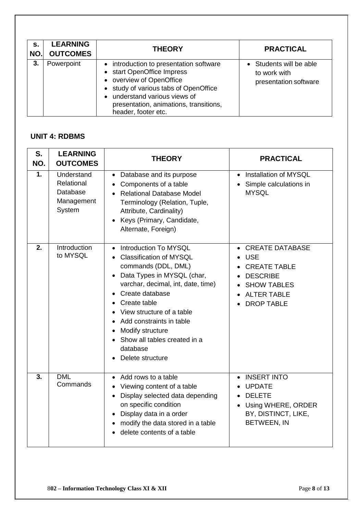| s.<br>NO. | <b>LEARNING</b><br><b>OUTCOMES</b> | <b>THEORY</b>                                                                                                                                                                                                                                           | <b>PRACTICAL</b>                                                 |
|-----------|------------------------------------|---------------------------------------------------------------------------------------------------------------------------------------------------------------------------------------------------------------------------------------------------------|------------------------------------------------------------------|
| 3.        | Powerpoint                         | • introduction to presentation software<br>• start OpenOffice Impress<br>• overview of OpenOffice<br>• study of various tabs of OpenOffice<br>understand various views of<br>$\bullet$<br>presentation, animations, transitions,<br>header, footer etc. | • Students will be able<br>to work with<br>presentation software |

#### **UNIT 4: RDBMS**

| S.<br>NO. | <b>LEARNING</b><br><b>OUTCOMES</b>                           | <b>THEORY</b>                                                                                                                                                                                                                                                                                                                                   | <b>PRACTICAL</b>                                                                                                                                |
|-----------|--------------------------------------------------------------|-------------------------------------------------------------------------------------------------------------------------------------------------------------------------------------------------------------------------------------------------------------------------------------------------------------------------------------------------|-------------------------------------------------------------------------------------------------------------------------------------------------|
| 1.        | Understand<br>Relational<br>Database<br>Management<br>System | Database and its purpose<br>$\bullet$<br>Components of a table<br><b>Relational Database Model</b><br>Terminology (Relation, Tuple,<br>Attribute, Cardinality)<br>Keys (Primary, Candidate,<br>$\bullet$<br>Alternate, Foreign)                                                                                                                 | Installation of MYSQL<br>$\bullet$<br>Simple calculations in<br><b>MYSQL</b>                                                                    |
| 2.        | <b>Introduction</b><br>to MYSQL                              | Introduction To MYSQL<br>$\bullet$<br><b>Classification of MYSQL</b><br>commands (DDL, DML)<br>Data Types in MYSQL (char,<br>varchar, decimal, int, date, time)<br>Create database<br>Create table<br>View structure of a table<br>Add constraints in table<br>Modify structure<br>Show all tables created in a<br>database<br>Delete structure | <b>CREATE DATABASE</b><br><b>USE</b><br><b>CREATE TABLE</b><br><b>DESCRIBE</b><br><b>SHOW TABLES</b><br><b>ALTER TABLE</b><br><b>DROP TABLE</b> |
| 3.        | <b>DML</b><br>Commands                                       | Add rows to a table<br>$\bullet$<br>Viewing content of a table<br>Display selected data depending<br>$\bullet$<br>on specific condition<br>Display data in a order<br>$\bullet$<br>modify the data stored in a table<br>delete contents of a table                                                                                              | <b>INSERT INTO</b><br>$\bullet$<br><b>UPDATE</b><br><b>DELETE</b><br>Using WHERE, ORDER<br>$\bullet$<br>BY, DISTINCT, LIKE,<br>BETWEEN, IN      |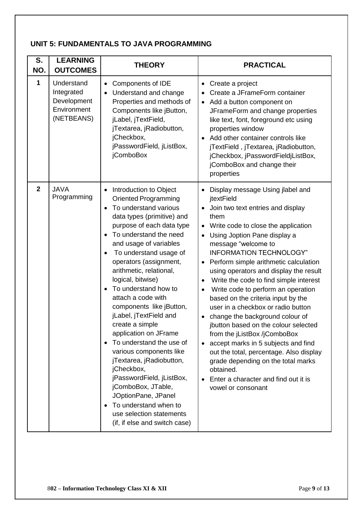#### **UNIT 5: FUNDAMENTALS TO JAVA PROGRAMMING**

| S.<br>NO.      | <b>LEARNING</b><br><b>OUTCOMES</b>                                   | <b>THEORY</b>                                                                                                                                                                                                                                                                                                                                                                                                                                                                                                                                                                                                                                                                                                                                                          | <b>PRACTICAL</b>                                                                                                                                                                                                                                                                                                                                                                                                                                                                                                                                                                                                                                                                                                                                                                         |
|----------------|----------------------------------------------------------------------|------------------------------------------------------------------------------------------------------------------------------------------------------------------------------------------------------------------------------------------------------------------------------------------------------------------------------------------------------------------------------------------------------------------------------------------------------------------------------------------------------------------------------------------------------------------------------------------------------------------------------------------------------------------------------------------------------------------------------------------------------------------------|------------------------------------------------------------------------------------------------------------------------------------------------------------------------------------------------------------------------------------------------------------------------------------------------------------------------------------------------------------------------------------------------------------------------------------------------------------------------------------------------------------------------------------------------------------------------------------------------------------------------------------------------------------------------------------------------------------------------------------------------------------------------------------------|
| 1              | Understand<br>Integrated<br>Development<br>Environment<br>(NETBEANS) | Components of IDE<br>$\bullet$<br>Understand and change<br>Properties and methods of<br>Components like jButton,<br>jLabel, jTextField,<br>jTextarea, jRadiobutton,<br>jCheckbox,<br>jPasswordField, jListBox,<br>jComboBox                                                                                                                                                                                                                                                                                                                                                                                                                                                                                                                                            | Create a project<br>٠<br>Create a JFrameForm container<br>Add a button component on<br>$\bullet$<br>JFrameForm and change properties<br>like text, font, foreground etc using<br>properties window<br>Add other container controls like<br>jTextField, jTextarea, jRadiobutton,<br>jCheckbox, jPasswordFieldjListBox,<br>jComboBox and change their<br>properties                                                                                                                                                                                                                                                                                                                                                                                                                        |
| $\overline{2}$ | <b>JAVA</b><br>Programming                                           | Introduction to Object<br>$\bullet$<br><b>Oriented Programming</b><br>To understand various<br>$\bullet$<br>data types (primitive) and<br>purpose of each data type<br>To understand the need<br>$\bullet$<br>and usage of variables<br>To understand usage of<br>operators (assignment,<br>arithmetic, relational,<br>logical, bitwise)<br>To understand how to<br>$\bullet$<br>attach a code with<br>components like jButton,<br>jLabel, jTextField and<br>create a simple<br>application on JFrame<br>To understand the use of<br>various components like<br>jTextarea, jRadiobutton,<br>jCheckbox,<br>jPasswordField, jListBox,<br>jComboBox, JTable,<br>JOptionPane, JPanel<br>To understand when to<br>use selection statements<br>(if, if else and switch case) | Display message Using jlabel and<br>jtextField<br>Join two text entries and display<br>them<br>Write code to close the application<br>Using Joption Pane display a<br>message "welcome to<br><b>INFORMATION TECHNOLOGY"</b><br>Perform simple arithmetic calculation<br>using operators and display the result<br>Write the code to find simple interest<br>Write code to perform an operation<br>based on the criteria input by the<br>user in a checkbox or radio button<br>change the background colour of<br>jbutton based on the colour selected<br>from the jListBox /jComboBox<br>accept marks in 5 subjects and find<br>out the total, percentage. Also display<br>grade depending on the total marks<br>obtained.<br>Enter a character and find out it is<br>vowel or consonant |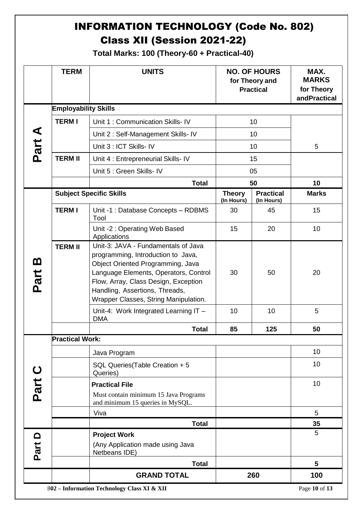# INFORMATION TECHNOLOGY (Code No. 802) Class XII (Session 2021-22)

**Total Marks: 100 (Theory-60 + Practical-40)**

|                  | <b>TERM</b>                                 | <b>UNITS</b>                                                                                                                                                                                                                                                               |                             | <b>NO. OF HOURS</b><br>for Theory and<br><b>Practical</b> | MAX.<br><b>MARKS</b><br>for Theory<br>andPractical |
|------------------|---------------------------------------------|----------------------------------------------------------------------------------------------------------------------------------------------------------------------------------------------------------------------------------------------------------------------------|-----------------------------|-----------------------------------------------------------|----------------------------------------------------|
|                  | <b>Employability Skills</b>                 |                                                                                                                                                                                                                                                                            |                             |                                                           |                                                    |
|                  | <b>TERMI</b>                                | Unit 1: Communication Skills- IV                                                                                                                                                                                                                                           |                             | 10                                                        |                                                    |
| ⋖                |                                             | Unit 2: Self-Management Skills- IV                                                                                                                                                                                                                                         | 10                          |                                                           |                                                    |
| Part.            |                                             | Unit 3 : ICT Skills- IV                                                                                                                                                                                                                                                    | 10                          |                                                           | 5                                                  |
|                  | <b>TERM II</b>                              | Unit 4 : Entrepreneurial Skills- IV                                                                                                                                                                                                                                        |                             | 15                                                        |                                                    |
|                  |                                             | Unit 5 : Green Skills- IV                                                                                                                                                                                                                                                  |                             | 05                                                        |                                                    |
|                  |                                             | <b>Total</b>                                                                                                                                                                                                                                                               |                             | 50                                                        | 10                                                 |
|                  |                                             | <b>Subject Specific Skills</b>                                                                                                                                                                                                                                             | <b>Theory</b><br>(In Hours) | <b>Practical</b><br>(In Hours)                            | <b>Marks</b>                                       |
|                  | <b>TERMI</b>                                | Unit -1 : Database Concepts - RDBMS<br>Tool                                                                                                                                                                                                                                | 30                          | 45                                                        | 15                                                 |
|                  |                                             | Unit -2 : Operating Web Based<br>Applications                                                                                                                                                                                                                              | 15                          | 20                                                        | 10                                                 |
| <u>ന</u><br>Part | <b>TERM II</b>                              | Unit-3: JAVA - Fundamentals of Java<br>programming, Introduction to Java,<br>Object Oriented Programming, Java<br>Language Elements, Operators, Control<br>Flow, Array, Class Design, Exception<br>Handling, Assertions, Threads,<br>Wrapper Classes, String Manipulation. | 30                          | 50                                                        | 20                                                 |
|                  |                                             | Unit-4: Work Integrated Learning IT -<br><b>DMA</b>                                                                                                                                                                                                                        | 10                          | 10                                                        | 5                                                  |
|                  |                                             | <b>Total</b>                                                                                                                                                                                                                                                               | 85                          | 125                                                       | 50                                                 |
|                  | Practical Work:                             |                                                                                                                                                                                                                                                                            |                             |                                                           |                                                    |
|                  |                                             | Java Program                                                                                                                                                                                                                                                               |                             |                                                           | 10                                                 |
|                  |                                             | SQL Queries (Table Creation + 5<br>Queries)                                                                                                                                                                                                                                |                             |                                                           | 10                                                 |
|                  |                                             | <b>Practical File</b>                                                                                                                                                                                                                                                      |                             |                                                           | 10                                                 |
| Part             |                                             | Must contain minimum 15 Java Programs<br>and minimum 15 queries in MySQL.                                                                                                                                                                                                  |                             |                                                           |                                                    |
|                  |                                             | Viva                                                                                                                                                                                                                                                                       |                             |                                                           | 5                                                  |
|                  |                                             | <b>Total</b>                                                                                                                                                                                                                                                               |                             |                                                           | 35                                                 |
| Part D           |                                             | <b>Project Work</b><br>(Any Application made using Java<br>Netbeans IDE)                                                                                                                                                                                                   |                             |                                                           | 5                                                  |
|                  |                                             | <b>Total</b>                                                                                                                                                                                                                                                               |                             |                                                           | 5                                                  |
|                  |                                             | <b>GRAND TOTAL</b>                                                                                                                                                                                                                                                         |                             | 260                                                       | 100                                                |
|                  | 802 - Information Technology Class XI & XII |                                                                                                                                                                                                                                                                            |                             |                                                           | Page 10 of 13                                      |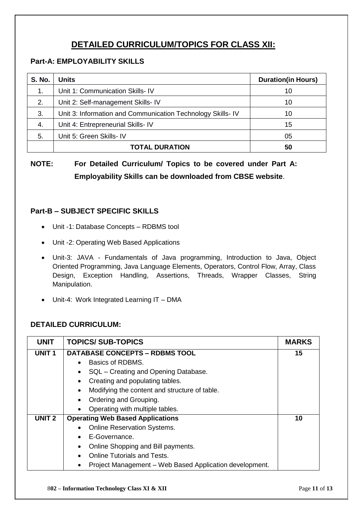# **DETAILED CURRICULUM/TOPICS FOR CLASS XII:**

#### **Part-A: EMPLOYABILITY SKILLS**

| <b>S. No.</b> | <b>Units</b>                                               | <b>Duration(in Hours)</b> |
|---------------|------------------------------------------------------------|---------------------------|
| $\mathbf 1$ . | Unit 1: Communication Skills- IV                           | 10                        |
| 2.            | Unit 2: Self-management Skills- IV                         | 10                        |
| 3.            | Unit 3: Information and Communication Technology Skills-IV | 10                        |
| 4.            | Unit 4: Entrepreneurial Skills- IV                         | 15                        |
| 5.            | Unit 5: Green Skills- IV                                   | 05                        |
|               | <b>TOTAL DURATION</b>                                      | 50                        |

**NOTE: For Detailed Curriculum/ Topics to be covered under Part A: Employability Skills can be downloaded from CBSE website**.

#### **Part-B – SUBJECT SPECIFIC SKILLS**

- Unit -1: Database Concepts RDBMS tool
- Unit -2: Operating Web Based Applications
- Unit-3: JAVA Fundamentals of Java programming, Introduction to Java, Object Oriented Programming, Java Language Elements, Operators, Control Flow, Array, Class Design, Exception Handling, Assertions, Threads, Wrapper Classes, String Manipulation.
- Unit-4: Work Integrated Learning IT DMA

#### **DETAILED CURRICULUM:**

| <b>UNIT</b>       | <b>TOPICS/SUB-TOPICS</b>                                   | <b>MARKS</b> |
|-------------------|------------------------------------------------------------|--------------|
| UNIT <sub>1</sub> | <b>DATABASE CONCEPTS - RDBMS TOOL</b>                      | 15           |
|                   | Basics of RDBMS.<br>$\bullet$                              |              |
|                   | SQL - Creating and Opening Database.<br>$\bullet$          |              |
|                   | Creating and populating tables.<br>$\bullet$               |              |
|                   | Modifying the content and structure of table.<br>$\bullet$ |              |
|                   | Ordering and Grouping.<br>$\bullet$                        |              |
|                   | Operating with multiple tables.<br>$\bullet$               |              |
| <b>UNIT 2</b>     | <b>Operating Web Based Applications</b>                    | 10           |
|                   | <b>Online Reservation Systems.</b><br>٠                    |              |
|                   | E-Governance.<br>$\bullet$                                 |              |
|                   | Online Shopping and Bill payments.<br>٠                    |              |
|                   | <b>Online Tutorials and Tests.</b><br>$\bullet$            |              |
|                   | Project Management - Web Based Application development.    |              |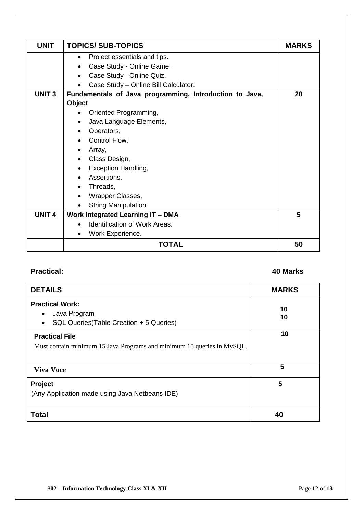| <b>UNIT</b>   | <b>TOPICS/SUB-TOPICS</b>                                | <b>MARKS</b> |
|---------------|---------------------------------------------------------|--------------|
|               | Project essentials and tips.<br>$\bullet$               |              |
|               | Case Study - Online Game.                               |              |
|               | Case Study - Online Quiz.                               |              |
|               | Case Study - Online Bill Calculator.                    |              |
| <b>UNIT3</b>  | Fundamentals of Java programming, Introduction to Java, | 20           |
|               | Object                                                  |              |
|               | Oriented Programming,                                   |              |
|               | Java Language Elements,<br>$\bullet$                    |              |
|               | Operators,                                              |              |
|               | Control Flow,                                           |              |
|               | Array,                                                  |              |
|               | Class Design,                                           |              |
|               | Exception Handling,                                     |              |
|               | Assertions,                                             |              |
|               | Threads,                                                |              |
|               | Wrapper Classes,                                        |              |
|               | <b>String Manipulation</b>                              |              |
| <b>UNIT 4</b> | <b>Work Integrated Learning IT - DMA</b>                | 5            |
|               | <b>Identification of Work Areas.</b>                    |              |
|               | Work Experience.                                        |              |
|               | <b>TOTAL</b>                                            | 50           |

#### **Practical: 40 Marks**

| <b>DETAILS</b>                                                                                  | <b>MARKS</b> |
|-------------------------------------------------------------------------------------------------|--------------|
| <b>Practical Work:</b><br>Java Program<br>SQL Queries(Table Creation + 5 Queries)<br>$\bullet$  | 10<br>10     |
| <b>Practical File</b><br>Must contain minimum 15 Java Programs and minimum 15 queries in MySQL. | 10           |
| <b>Viva Voce</b>                                                                                | 5            |
| Project<br>(Any Application made using Java Netbeans IDE)                                       | 5            |
| <b>Total</b>                                                                                    | 40           |